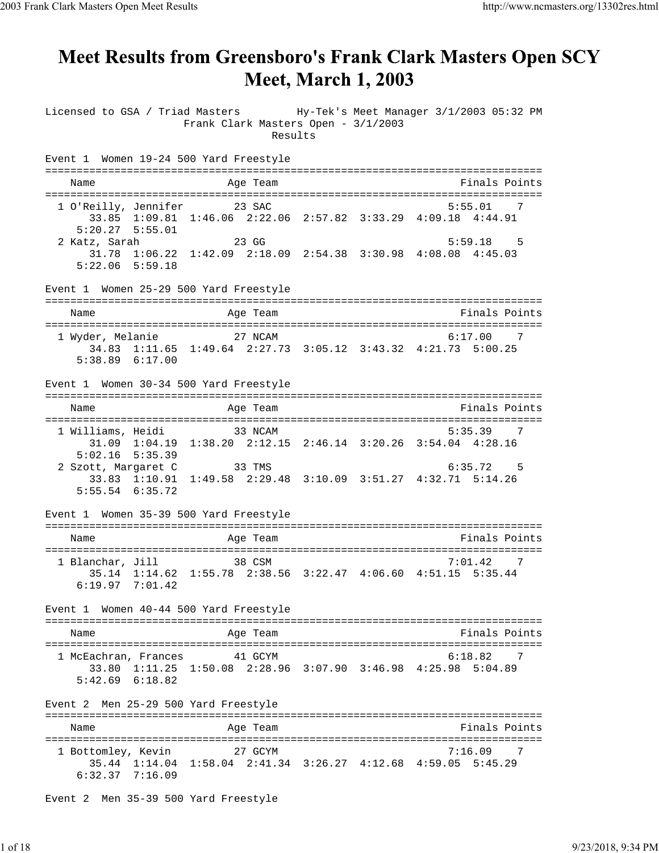## Meet Results from Greensboro's Frank Clark Masters Open SCY **Meet, March 1, 2003**

Licensed to GSA / Triad Masters Hy-Tek's Meet Manager 3/1/2003 05:32 PM Frank Clark Masters Open - 3/1/2003 Results Event 1 Women 19-24 500 Yard Freestyle =============================================================================== Name Age Team Age Team Finals Points =============================================================================== 1 O'Reilly, Jennifer 23 SAC 5:55.01 7 33.85 1:09.81 1:46.06 2:22.06 2:57.82 3:33.29 4:09.18 4:44.91 5:20.27 5:55.01 2 Katz, Sarah 23 GG 5:59.18 5 31.78 1:06.22 1:42.09 2:18.09 2:54.38 3:30.98 4:08.08 4:45.03 5:22.06 5:59.18 Event 1 Women 25-29 500 Yard Freestyle =============================================================================== Name Age Team Age Team Finals Points =============================================================================== 1 Wyder, Melanie 27 NCAM 6:17.00 7 34.83 1:11.65 1:49.64 2:27.73 3:05.12 3:43.32 4:21.73 5:00.25 5:38.89 6:17.00 Event 1 Women 30-34 500 Yard Freestyle =============================================================================== Name **Age Team** Age Team **Finals Points** =============================================================================== 1 Williams, Heidi 33 NCAM 5:35.39 7 31.09 1:04.19 1:38.20 2:12.15 2:46.14 3:20.26 3:54.04 4:28.16 5:02.16 5:35.39 2 Szott, Margaret C 33 TMS 6:35.72 5 33.83 1:10.91 1:49.58 2:29.48 3:10.09 3:51.27 4:32.71 5:14.26 5:55.54 6:35.72 Event 1 Women 35-39 500 Yard Freestyle =============================================================================== Name Age Team Age Team Finals Points =============================================================================== 1 Blanchar, Jill 38 CSM 7:01.42 7 35.14 1:14.62 1:55.78 2:38.56 3:22.47 4:06.60 4:51.15 5:35.44 6:19.97 7:01.42 Event 1 Women 40-44 500 Yard Freestyle =============================================================================== Name Age Team Age Team Finals Points =============================================================================== 1 McEachran, Frances 41 GCYM 6:18.82 7 33.80 1:11.25 1:50.08 2:28.96 3:07.90 3:46.98 4:25.98 5:04.89 5:42.69 6:18.82 Event 2 Men 25-29 500 Yard Freestyle =============================================================================== Name Age Team Age Team Finals Points =============================================================================== 1 Bottomley, Kevin 27 GCYM 35.44 1:14.04 1:58.04 2:41.34 3:26.27 4:12.68 4:59.05 5:45.29 6:32.37 7:16.09

Event 2 Men 35-39 500 Yard Freestyle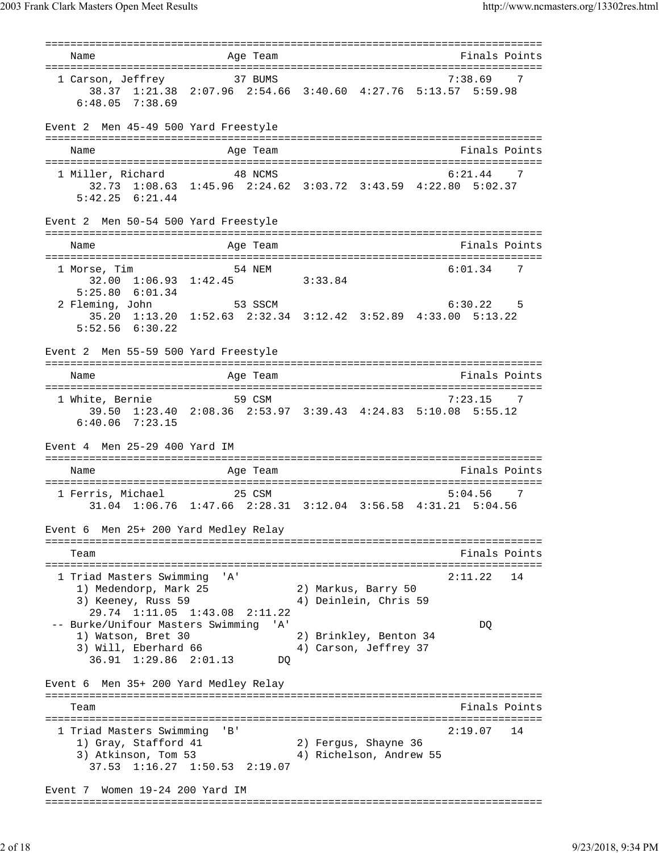=============================================================================== Name **Age Team** Age Team **Finals Points** =============================================================================== 1 Carson, Jeffrey 37 BUMS 7:38.69 7 38.37 1:21.38 2:07.96 2:54.66 3:40.60 4:27.76 5:13.57 5:59.98 6:48.05 7:38.69 Event 2 Men 45-49 500 Yard Freestyle =============================================================================== Name Age Team Finals Points =============================================================================== 1 Miller, Richard 48 NCMS 6:21.44 7 32.73 1:08.63 1:45.96 2:24.62 3:03.72 3:43.59 4:22.80 5:02.37 5:42.25 6:21.44 Event 2 Men 50-54 500 Yard Freestyle =============================================================================== Name **Age Team** Age Team **Finals Points** =============================================================================== 1 Morse, Tim 54 NEM 6:01.34 7 32.00 1:06.93 1:42.45 3:33.84  $5:25.80$   $6:01.34$  2 Fleming, John 53 SSCM 6:30.22 5 35.20 1:13.20 1:52.63 2:32.34 3:12.42 3:52.89 4:33.00 5:13.22 5:52.56 6:30.22 Event 2 Men 55-59 500 Yard Freestyle =============================================================================== Name Age Team Age Team Finals Points =============================================================================== 1 White, Bernie 59 CSM 7:23.15 7 39.50 1:23.40 2:08.36 2:53.97 3:39.43 4:24.83 5:10.08 5:55.12 6:40.06 7:23.15 Event 4 Men 25-29 400 Yard IM =============================================================================== Name Age Team Age Team Finals Points =============================================================================== 1 Ferris, Michael 25 CSM 31.04 1:06.76 1:47.66 2:28.31 3:12.04 3:56.58 4:31.21 5:04.56 Event 6 Men 25+ 200 Yard Medley Relay =============================================================================== Team Finals Points =============================================================================== 1 Triad Masters Swimming 'A' 2:11.22 14 1) Medendorp, Mark 25 2) Markus, Barry 50 3) Keeney, Russ 59 4) Deinlein, Chris 59 29.74 1:11.05 1:43.08 2:11.22 -- Burke/Unifour Masters Swimming 'A' DQ 1) Watson, Bret 30 2) Brinkley, Benton 34 3) Will, Eberhard 66 4) Carson, Jeffrey 37 36.91 1:29.86 2:01.13 DQ Event 6 Men 35+ 200 Yard Medley Relay =============================================================================== Team Finals Points =============================================================================== 1 Triad Masters Swimming 'B' 2:19.07 14 1) Gray, Stafford 41 2) Fergus, Shayne 36 3) Atkinson, Tom 53 4) Richelson, Andrew 55 37.53 1:16.27 1:50.53 2:19.07 Event 7 Women 19-24 200 Yard IM ===============================================================================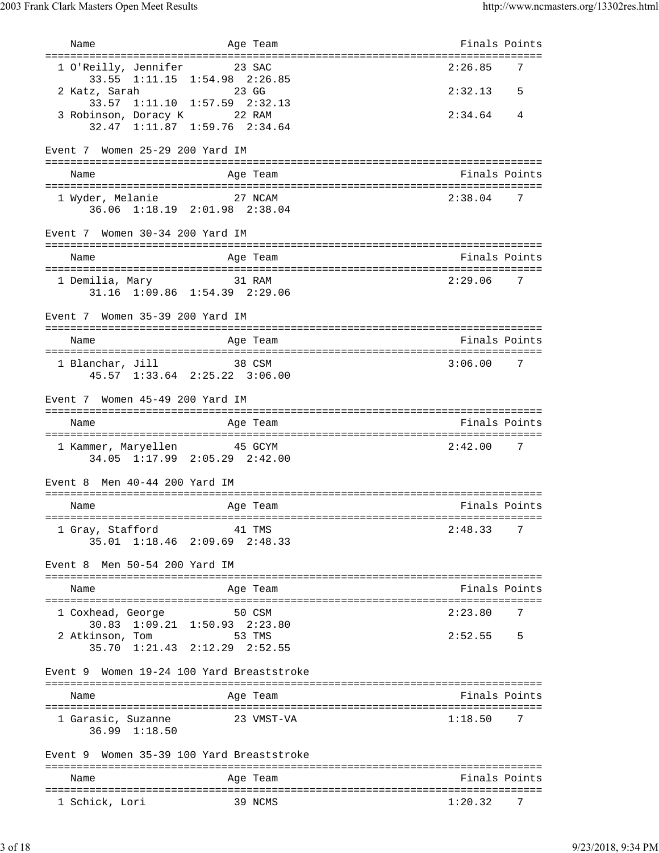| Name                                      | Age Team                                 | Finals Points |
|-------------------------------------------|------------------------------------------|---------------|
| 1 O'Reilly, Jennifer 23 SAC               | 33.55 1:11.15 1:54.98 2:26.85            | 2:26.85<br>7  |
| 2 Katz, Sarah                             | 23 GG<br>33.57 1:11.10 1:57.59 2:32.13   | 2:32.13<br>5  |
| 3 Robinson, Doracy K 22 RAM               | 32.47 1:11.87 1:59.76 2:34.64            | 2:34.64<br>4  |
| Event 7 Women 25-29 200 Yard IM           |                                          |               |
| Name                                      | Age Team                                 | Finals Points |
| 1 Wyder, Melanie                          | 27 NCAM<br>36.06 1:18.19 2:01.98 2:38.04 | 2:38.04<br>7  |
| Event 7 Women 30-34 200 Yard IM           |                                          |               |
| Name                                      | Age Team                                 | Finals Points |
| 1 Demilia, Mary                           | 31 RAM<br>31.16 1:09.86 1:54.39 2:29.06  | 2:29.06<br>7  |
| Event 7 Women 35-39 200 Yard IM           |                                          |               |
| Name                                      | Age Team                                 | Finals Points |
| 1 Blanchar, Jill 38 CSM                   | 45.57 1:33.64 2:25.22 3:06.00            | 3:06.00<br>7  |
| Event 7 Women 45-49 200 Yard IM           |                                          |               |
| Name                                      | Age Team                                 | Finals Points |
| 1 Kammer, Maryellen 45 GCYM               | 34.05 1:17.99 2:05.29 2:42.00            | 7<br>2:42.00  |
| Event 8 Men 40-44 200 Yard IM             |                                          |               |
| Name                                      | Age Team                                 | Finals Points |
| 1 Gray, Stafford                          | 41 TMS<br>35.01 1:18.46 2:09.69 2:48.33  | 2:48.33<br>7  |
| Event 8 Men 50-54 200 Yard IM             |                                          |               |
| Name                                      | Age Team                                 | Finals Points |
| 1 Coxhead, George                         | 50 CSM<br>30.83 1:09.21 1:50.93 2:23.80  | 2:23.80<br>7  |
| 2 Atkinson, Tom                           | 53 TMS<br>35.70 1:21.43 2:12.29 2:52.55  | 2:52.55<br>-5 |
| Event 9 Women 19-24 100 Yard Breaststroke |                                          |               |
| Name                                      | Age Team                                 | Finals Points |
| 1 Garasic, Suzanne<br>$36.99$ $1:18.50$   | 23 VMST-VA                               | 1:18.50<br>7  |
| Event 9 Women 35-39 100 Yard Breaststroke |                                          |               |
| Name                                      | Age Team                                 | Finals Points |
| 1 Schick, Lori                            | 39 NCMS                                  | 1:20.32<br>7  |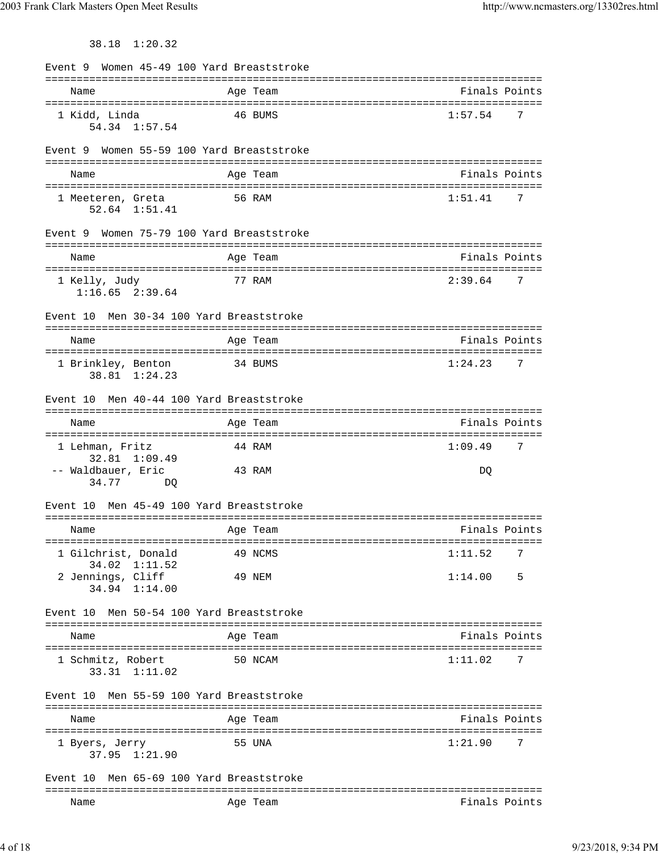38.18 1:20.32

| Women 45-49 100 Yard Breaststroke<br>Event 9        |          |               |
|-----------------------------------------------------|----------|---------------|
| Name                                                | Age Team | Finals Points |
| 1 Kidd, Linda<br>54.34 1:57.54                      | 46 BUMS  | 1:57.54<br>7  |
| Women 55-59 100 Yard Breaststroke<br>Event 9        |          |               |
| Name                                                | Age Team | Finals Points |
| 1 Meeteren, Greta<br>52.64 1:51.41                  | 56 RAM   | 1:51.41<br>7  |
| Women 75-79 100 Yard Breaststroke<br>Event 9        |          |               |
| Name                                                | Age Team | Finals Points |
| 1 Kelly, Judy<br>$1:16.65$ $2:39.64$                | 77 RAM   | 2:39.64<br>7  |
| Men 30-34 100 Yard Breaststroke<br>Event 10         |          |               |
| Name                                                | Age Team | Finals Points |
| 1 Brinkley, Benton<br>38.81 1:24.23                 | 34 BUMS  | 1:24.23<br>7  |
| Event 10 Men 40-44 100 Yard Breaststroke            |          |               |
| Name                                                | Age Team | Finals Points |
| 1 Lehman, Fritz<br>32.81 1:09.49                    | 44 RAM   | 1:09.49<br>7  |
| -- Waldbauer, Eric<br>34.77<br>DO                   | 43 RAM   | DQ            |
| Men 45-49 100 Yard Breaststroke<br>Event 10         |          |               |
| Name                                                | Age Team | Finals Points |
| 1 Gilchrist, Donald                                 | 49 NCMS  | 1:11.52<br>7  |
| 34.02 1:11.52<br>2 Jennings, Cliff<br>34.94 1:14.00 | 49 NEM   | 1:14.00<br>5  |
| Event 10 Men 50-54 100 Yard Breaststroke            |          |               |
| Name                                                | Age Team | Finals Points |
| 1 Schmitz, Robert<br>33.31 1:11.02                  | 50 NCAM  | 1:11.02<br>7  |
| Men 55-59 100 Yard Breaststroke<br>Event 10         |          |               |
| Name                                                | Age Team | Finals Points |
| 1 Byers, Jerry<br>37.95 1:21.90                     | 55 UNA   | 1:21.90<br>7  |
| Men 65-69 100 Yard Breaststroke<br>Event 10         |          |               |
| Name                                                | Age Team | Finals Points |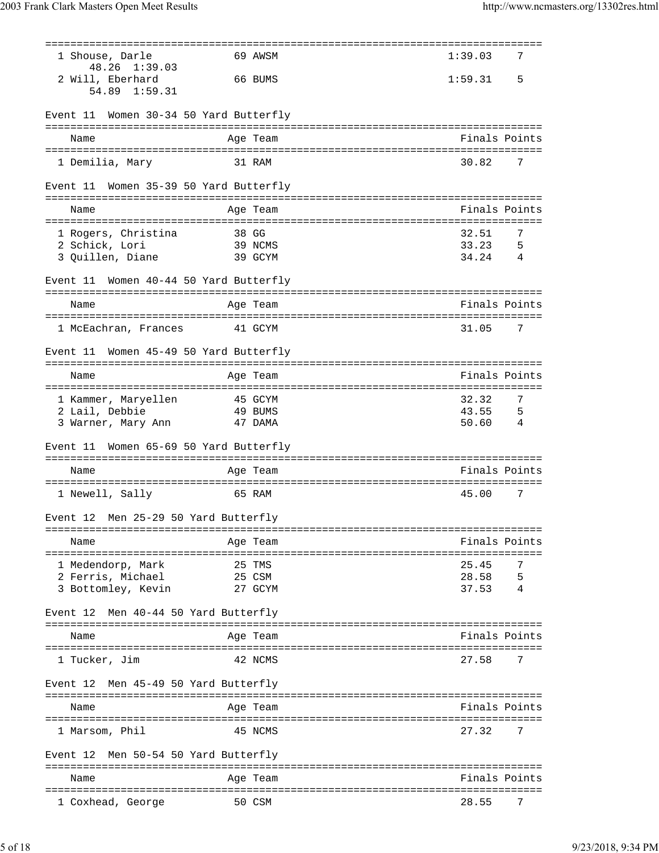|                                           |       |          | ==========================        |               |
|-------------------------------------------|-------|----------|-----------------------------------|---------------|
| 1 Shouse, Darle                           |       | 69 AWSM  | 1:39.03                           | 7             |
| 48.26 1:39.03<br>2 Will, Eberhard         |       | 66 BUMS  | 1:59.31                           | 5             |
| 54.89 1:59.31                             |       |          |                                   |               |
|                                           |       |          |                                   |               |
| Event 11 Women 30-34 50 Yard Butterfly    |       |          |                                   |               |
| Name                                      |       | Age Team |                                   | Finals Points |
|                                           |       |          |                                   |               |
| 1 Demilia, Mary                           |       | 31 RAM   | 30.82                             |               |
| Event 11 Women 35-39 50 Yard Butterfly    |       |          |                                   |               |
| Name                                      |       | Age Team |                                   | Finals Points |
|                                           |       |          |                                   | 7             |
| 1 Rogers, Christina<br>2 Schick, Lori     | 38 GG | 39 NCMS  | 32.51<br>33.23                    | 5             |
| 3 Quillen, Diane                          |       | 39 GCYM  | 34.24                             | -4            |
|                                           |       |          |                                   |               |
| Women 40-44 50 Yard Butterfly<br>Event 11 |       |          |                                   |               |
| Name                                      |       | Age Team |                                   | Finals Points |
| 1 McEachran, Frances                      |       | 41 GCYM  | 31.05                             | 7             |
|                                           |       |          |                                   |               |
| Women 45-49 50 Yard Butterfly<br>Event 11 |       |          |                                   |               |
|                                           |       |          |                                   |               |
| Name                                      |       | Age Team |                                   | Finals Points |
| 1 Kammer, Maryellen                       |       | 45 GCYM  | 32.32                             | 7             |
| 2 Lail, Debbie                            |       | 49 BUMS  | 43.55                             | 5             |
| 3 Warner, Mary Ann                        |       | 47 DAMA  | 50.60                             | -4            |
| Women 65-69 50 Yard Butterfly             |       |          |                                   |               |
| Event 11                                  |       |          |                                   |               |
| Name                                      |       | Age Team |                                   | Finals Points |
|                                           |       |          |                                   |               |
| 1 Newell, Sally                           |       | 65 RAM   | 45.00                             | 7             |
| Event 12 Men 25-29 50 Yard Butterfly      |       |          |                                   |               |
| Name                                      |       | Age Team |                                   | Finals Points |
| -------------------------------------     |       |          | ================================  |               |
| 1 Medendorp, Mark                         |       | 25 TMS   | 25.45                             | 7             |
| 2 Ferris, Michael                         |       | 25 CSM   | 28.58                             | 5             |
| 3 Bottomley, Kevin                        |       | 27 GCYM  | 37.53                             | 4             |
| Men 40-44 50 Yard Butterfly<br>Event 12   |       |          |                                   |               |
| Name                                      |       | Age Team |                                   | Finals Points |
|                                           |       |          |                                   |               |
| 1 Tucker, Jim                             |       | 42 NCMS  | 27.58                             |               |
| Men 45-49 50 Yard Butterfly<br>Event 12   |       |          |                                   |               |
| Name                                      |       | Age Team | --------------------------------- | Finals Points |
|                                           |       |          |                                   |               |
| 1 Marsom, Phil                            |       | 45 NCMS  | 27.32                             |               |
| Men 50-54 50 Yard Butterfly<br>Event 12   |       |          |                                   |               |
| Name                                      |       | Age Team |                                   | Finals Points |
| 1 Coxhead, George                         |       | 50 CSM   | 28.55                             |               |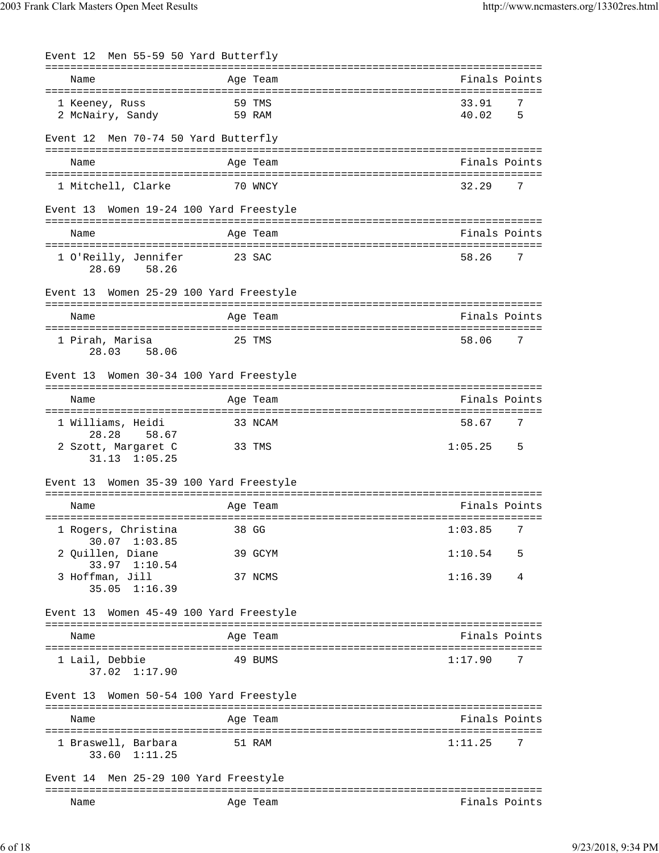| Event 12 Men 55-59 50 Yard Butterfly              |                  |          |                    |                |
|---------------------------------------------------|------------------|----------|--------------------|----------------|
| Name                                              |                  | Age Team |                    | Finals Points  |
| 1 Keeney, Russ<br>2 McNairy, Sandy                | 59 TMS<br>59 RAM |          | 33.91 7<br>40.02 5 |                |
| Event 12 Men 70-74 50 Yard Butterfly              |                  |          |                    |                |
| Name                                              |                  | Age Team |                    | Finals Points  |
| 1 Mitchell, Clarke 70 WNCY                        |                  |          | 32.29              | $\overline{7}$ |
| Event 13 Women 19-24 100 Yard Freestyle           |                  |          |                    |                |
| Name                                              |                  | Age Team | Finals Points      |                |
| 1 O'Reilly, Jennifer<br>28.69 58.26               | 23 SAC           |          | 58.26              | $\overline{7}$ |
| Event 13 Women 25-29 100 Yard Freestyle           |                  |          |                    |                |
| Name                                              |                  | Age Team |                    | Finals Points  |
| 1 Pirah, Marisa<br>28.03 58.06                    | 25 TMS           |          | 58.06              | 7              |
| Women 30-34 100 Yard Freestyle<br>Event 13        |                  |          |                    |                |
| Name                                              |                  | Age Team | Finals Points      |                |
| 1 Williams, Heidi<br>28.28 58.67                  |                  | 33 NCAM  | 58.67              | 7              |
| 2 Szott, Margaret C<br>$31.13 \quad 1:05.25$      | 33 TMS           |          | $1:05.25$ 5        |                |
| Event 13 Women 35-39 100 Yard Freestyle           |                  |          |                    |                |
| Name                                              |                  | Age Team |                    | Finals Points  |
| 1 Rogers, Christina 38 GG                         |                  |          | $1:03.85$ 7        |                |
| 30.07 1:03.85<br>2 Quillen, Diane                 |                  | 39 GCYM  | 1:10.54            | 5              |
| 33.97 1:10.54<br>3 Hoffman, Jill<br>35.05 1:16.39 |                  | 37 NCMS  | 1:16.39            | 4              |
| Event 13 Women 45-49 100 Yard Freestyle           |                  |          |                    |                |
|                                                   |                  |          |                    |                |
| Name                                              |                  | Age Team |                    | Finals Points  |
| 1 Lail, Debbie<br>$37.02 \quad 1:17.90$           |                  | 49 BUMS  | 1:17.90            | 7              |
| Event 13 Women 50-54 100 Yard Freestyle           |                  |          |                    |                |
| Name                                              |                  | Age Team |                    | Finals Points  |
| 1 Braswell, Barbara<br>33.60 1:11.25              |                  | 51 RAM   | 1:11.25            | 7              |
| Event 14 Men 25-29 100 Yard Freestyle             |                  |          |                    |                |
| Name                                              |                  | Age Team |                    | Finals Points  |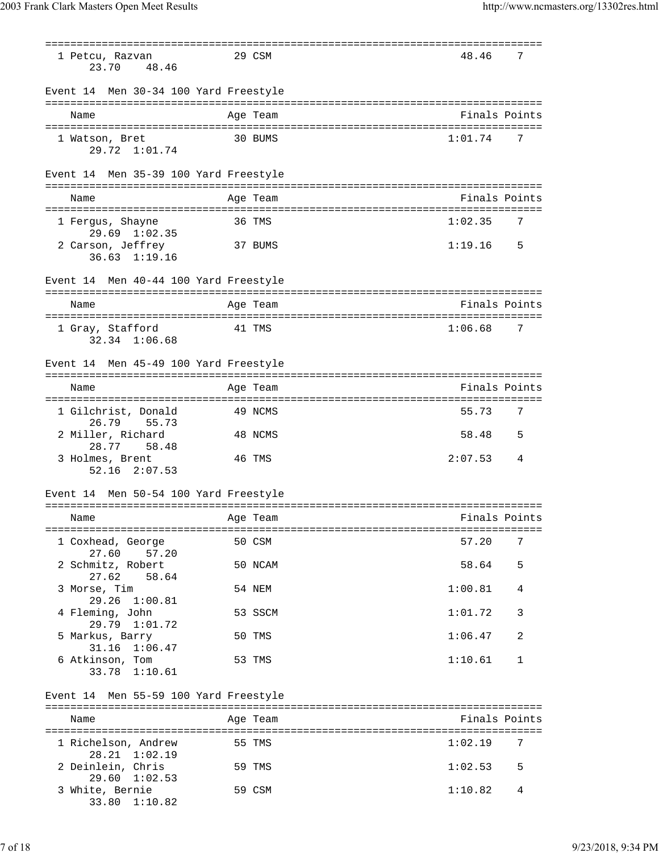|                                                         | =======                      |               |   |
|---------------------------------------------------------|------------------------------|---------------|---|
| 1 Petcu, Razvan<br>48.46<br>23.70                       | 29 CSM                       | 48.46         | 7 |
| Event 14 Men 30-34 100 Yard Freestyle                   |                              |               |   |
| Name                                                    | Age Team                     | Finals Points |   |
| 1 Watson, Bret<br>29.72<br>1:01.74                      | 30 BUMS                      | 1:01.74       | 7 |
| Event 14 Men 35-39 100 Yard Freestyle                   |                              |               |   |
| Name                                                    | Age Team                     | Finals Points |   |
| 1 Fergus, Shayne                                        | 36 TMS                       | 1:02.35       | 7 |
| $29.69$ $1:02.35$<br>2 Carson, Jeffrey<br>36.63 1:19.16 | 37 BUMS                      | 1:19.16       | 5 |
| Event 14 Men 40-44 100 Yard Freestyle                   |                              |               |   |
| Name                                                    | Age Team                     | Finals Points |   |
| 1 Gray, Stafford<br>32.34 1:06.68                       | 41 TMS                       | 1:06.68       | 7 |
| Event 14 Men 45-49 100 Yard Freestyle                   |                              |               |   |
| Name                                                    | Age Team                     | Finals Points |   |
| 1 Gilchrist, Donald                                     | 49 NCMS                      | 55.73         | 7 |
| 26.79<br>55.73<br>2 Miller, Richard<br>28.77<br>58.48   | 48 NCMS                      | 58.48         | 5 |
| 3 Holmes, Brent<br>$52.16$ $2:07.53$                    | 46 TMS                       | 2:07.53       | 4 |
| Event 14                                                | Men 50-54 100 Yard Freestyle |               |   |
| Name                                                    | Age Team                     | Finals Points |   |
| 1 Coxhead, George                                       | 50 CSM                       | 57.20         | 7 |
| 27.60<br>57.20<br>2 Schmitz, Robert<br>27.62<br>58.64   | 50 NCAM                      | 58.64         | 5 |
| 3 Morse, Tim                                            | 54 NEM                       | 1:00.81       | 4 |
| 29.26 1:00.81<br>4 Fleming, John                        | 53 SSCM                      | 1:01.72       | 3 |
| 29.79 1:01.72<br>5 Markus, Barry                        | 50 TMS                       | 1:06.47       | 2 |
| 31.16 1:06.47<br>6 Atkinson, Tom<br>33.78 1:10.61       | 53 TMS                       | 1:10.61       | 1 |
| Event 14 Men 55-59 100 Yard Freestyle                   |                              |               |   |
| Name                                                    | Age Team                     | Finals Points |   |
| 1 Richelson, Andrew                                     | 55 TMS                       | 1:02.19       | 7 |
| 28.21 1:02.19<br>2 Deinlein, Chris                      | 59 TMS                       | 1:02.53       | 5 |
| 29.60 1:02.53<br>3 White, Bernie                        | 59 CSM                       | 1:10.82       | 4 |
| 33.80 1:10.82                                           |                              |               |   |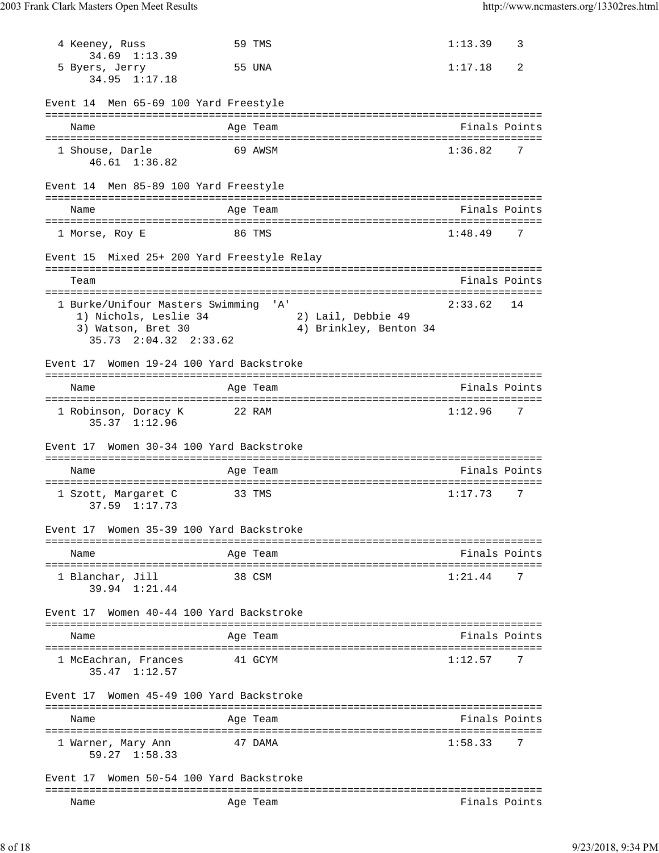| 4 Keeney, Russ                                                                                                         | 59 TMS                                               | 1:13.39                     | 3  |
|------------------------------------------------------------------------------------------------------------------------|------------------------------------------------------|-----------------------------|----|
| 34.69 1:13.39<br>5 Byers, Jerry<br>34.95<br>1:17.18                                                                    | 55 UNA                                               | 1:17.18                     | 2  |
| Event 14 Men 65-69 100 Yard Freestyle                                                                                  |                                                      |                             |    |
| ------------------------------<br>Name                                                                                 | Age Team                                             | Finals Points               |    |
| 1 Shouse, Darle<br>46.61 1:36.82                                                                                       | 69 AWSM                                              | 1:36.82                     |    |
| Event 14 Men 85-89 100 Yard Freestyle                                                                                  |                                                      |                             |    |
| Name                                                                                                                   | Age Team                                             | Finals Points               |    |
| 1 Morse, Roy E                                                                                                         | 86 TMS                                               | 1:48.49                     | 7  |
| Event 15 Mixed 25+ 200 Yard Freestyle Relay                                                                            |                                                      |                             |    |
| Team                                                                                                                   |                                                      | Finals Points               |    |
| 1 Burke/Unifour Masters Swimming<br>1) Nichols, Leslie 34<br>3) Watson, Bret 30<br>$35.73 \quad 2:04.32 \quad 2:33.62$ | ' A'<br>2) Lail, Debbie 49<br>4) Brinkley, Benton 34 | ----------------<br>2:33.62 | 14 |
| Event 17 Women 19-24 100 Yard Backstroke                                                                               |                                                      |                             |    |
| Name                                                                                                                   | Age Team                                             | Finals Points               |    |
| 1 Robinson, Doracy K<br>35.37 1:12.96                                                                                  | 22 RAM                                               | 1:12.96                     | 7  |
| Event 17 Women 30-34 100 Yard Backstroke                                                                               |                                                      |                             |    |
| Name                                                                                                                   | Age Team                                             | Finals Points               |    |
| 1 Szott, Margaret C<br>37.59 1:17.73                                                                                   | 33 TMS                                               | 1:17.73                     | 7  |
| Event 17 Women 35-39 100 Yard Backstroke                                                                               |                                                      |                             |    |
| Name                                                                                                                   | Age Team                                             | Finals Points               |    |
| 1 Blanchar, Jill<br>39.94 1:21.44                                                                                      | 38 CSM                                               | 1:21.44                     |    |
| Event 17 Women 40-44 100 Yard Backstroke                                                                               |                                                      |                             |    |
| Name                                                                                                                   | Age Team                                             | Finals Points               |    |
| 1 McEachran, Frances<br>$35.47$ $1:12.57$                                                                              | 41 GCYM                                              | 1:12.57                     | 7  |
| Women 45-49 100 Yard Backstroke<br>Event 17                                                                            |                                                      |                             |    |
| Name                                                                                                                   | Age Team                                             | Finals Points               |    |
| 1 Warner, Mary Ann<br>59.27 1:58.33                                                                                    | 47 DAMA                                              | 1:58.33                     | 7  |
| Women 50-54 100 Yard Backstroke<br>Event 17<br>--------------------------------------                                  |                                                      |                             |    |
| Name                                                                                                                   | Age Team                                             | Finals Points               |    |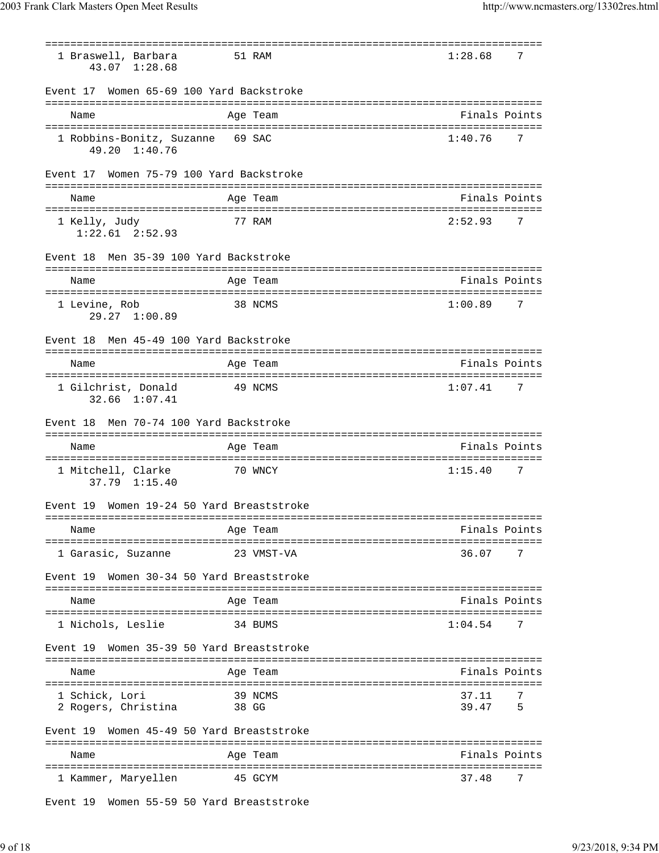| 1 Braswell, Barbara<br>43.07 1:28.68          | 51 RAM                                           | 1:28.68        | 7      |
|-----------------------------------------------|--------------------------------------------------|----------------|--------|
| Event 17 Women 65-69 100 Yard Backstroke      |                                                  |                |        |
| Name                                          | Age Team                                         | Finals Points  |        |
| 1 Robbins-Bonitz, Suzanne<br>49.20 1:40.76    | 69 SAC                                           | 1:40.76        | 7      |
| Event 17 Women 75-79 100 Yard Backstroke      |                                                  |                |        |
| Name                                          | Age Team                                         | Finals Points  |        |
| 1 Kelly, Judy<br>$1:22.61$ $2:52.93$          | ======================================<br>77 RAM | 2:52.93        | 7      |
| Event 18 Men 35-39 100 Yard Backstroke        |                                                  |                |        |
| Name                                          | Age Team                                         | Finals Points  |        |
| 1 Levine, Rob<br>29.27 1:00.89                | 38 NCMS                                          | 1:00.89        |        |
| Men 45-49 100 Yard Backstroke<br>Event 18     |                                                  |                |        |
| Name                                          | Age Team                                         | Finals Points  |        |
| 1 Gilchrist, Donald<br>32.66 1:07.41          | ====================================<br>49 NCMS  | 1:07.41        | 7      |
| Men 70-74 100 Yard Backstroke<br>Event 18     |                                                  |                |        |
| Name                                          | Age Team                                         | Finals Points  |        |
| 1 Mitchell, Clarke<br>37.79 1:15.40           | 70 WNCY                                          | 1:15.40        | 7      |
| Women 19-24 50 Yard Breaststroke<br>Event 19  |                                                  |                |        |
| ============================<br>Name          | Age Team                                         | Finals Points  |        |
| =======================<br>1 Garasic, Suzanne | 23 VMST-VA                                       | 36.07          | 7      |
| Women 30-34 50 Yard Breaststroke<br>Event 19  |                                                  |                |        |
| Name                                          | Age Team                                         | Finals Points  |        |
| 1 Nichols, Leslie                             | 34 BUMS                                          | 1:04.54        | 7      |
| Women 35-39 50 Yard Breaststroke<br>Event 19  |                                                  |                |        |
| Name                                          | Age Team                                         | Finals Points  |        |
| 1 Schick, Lori<br>2 Rogers, Christina         | 39 NCMS<br>38 GG                                 | 37.11<br>39.47 | 7<br>5 |
| Women 45-49 50 Yard Breaststroke<br>Event 19  |                                                  |                |        |
| Name                                          | Age Team                                         | Finals Points  |        |
| 1 Kammer, Maryellen                           | 45 GCYM                                          | 37.48          | 7      |

Event 19 Women 55-59 50 Yard Breaststroke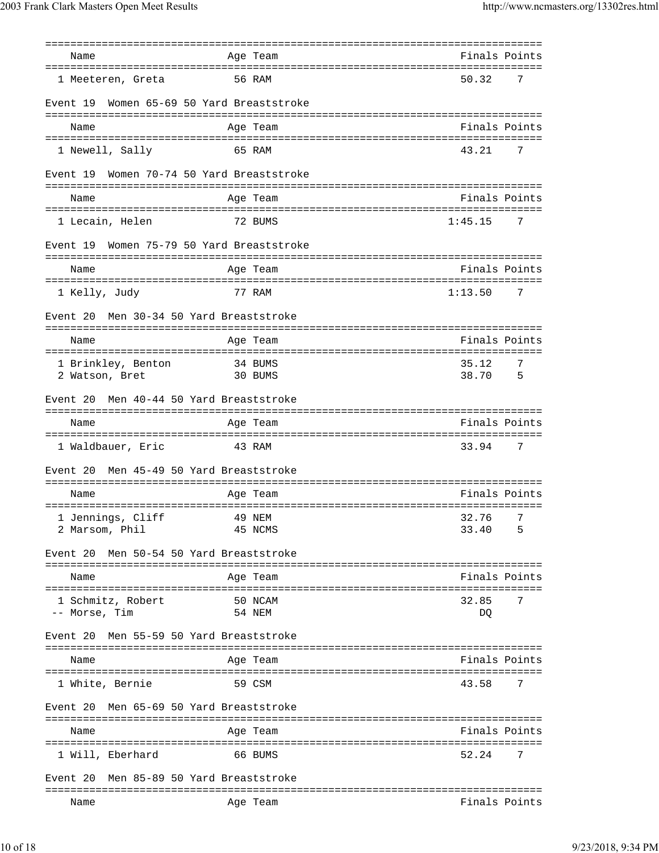| Name                                         | Age Team                     | Finals Points             |
|----------------------------------------------|------------------------------|---------------------------|
| 1 Meeteren, Greta                            | 56 RAM                       | 50.32<br>7                |
| Women 65-69 50 Yard Breaststroke<br>Event 19 |                              |                           |
| Name                                         | Age Team                     | Finals Points             |
| 1 Newell, Sally                              | 65 RAM                       | 43.21<br>7                |
| Women 70-74 50 Yard Breaststroke<br>Event 19 |                              |                           |
| Name                                         | Age Team                     | Finals Points             |
| 1 Lecain, Helen                              | 72 BUMS                      | 1:45.15<br>7              |
| Women 75-79 50 Yard Breaststroke<br>Event 19 |                              |                           |
| Name                                         | Age Team                     | Finals Points             |
| 1 Kelly, Judy                                | 77 RAM                       | 1:13.50<br>7              |
| Men 30-34 50 Yard Breaststroke<br>Event 20   |                              |                           |
| Name                                         | Age Team                     | Finals Points             |
|                                              |                              | ==================        |
| 1 Brinkley, Benton<br>2 Watson, Bret         | 34 BUMS<br>30 BUMS           | 35.12<br>7<br>38.70<br>-5 |
| Men 40-44 50 Yard Breaststroke<br>Event 20   |                              |                           |
| Name                                         | Age Team                     | Finals Points             |
| 1 Waldbauer, Eric                            | 43 RAM                       | 33.94                     |
| Men 45-49 50 Yard Breaststroke<br>Event 20   |                              |                           |
| Name                                         | Age Team                     | Finals Points             |
| 1 Jennings, Cliff                            | ==================<br>49 NEM | 7<br>32.76                |
| 2 Marsom, Phil                               | 45 NCMS                      | 33.40<br>5                |
| Men 50-54 50 Yard Breaststroke<br>Event 20   |                              |                           |
| Name                                         | Age Team                     | Finals Points             |
| 1 Schmitz, Robert                            | 50 NCAM                      | 32.85<br>7                |
| -- Morse, Tim                                | 54 NEM                       | DQ                        |
| Men 55-59 50 Yard Breaststroke<br>Event 20   |                              |                           |
| Name                                         | Age Team                     | Finals Points             |
| 1 White, Bernie                              | 59 CSM                       | 7<br>43.58                |
| Men 65-69 50 Yard Breaststroke<br>Event 20   |                              |                           |
| Name                                         | Age Team                     | Finals Points             |
| 1 Will, Eberhard                             | 66 BUMS                      | 52.24<br>7                |
| Men 85-89 50 Yard Breaststroke<br>Event 20   |                              |                           |
| Name                                         | Age Team                     | Finals Points             |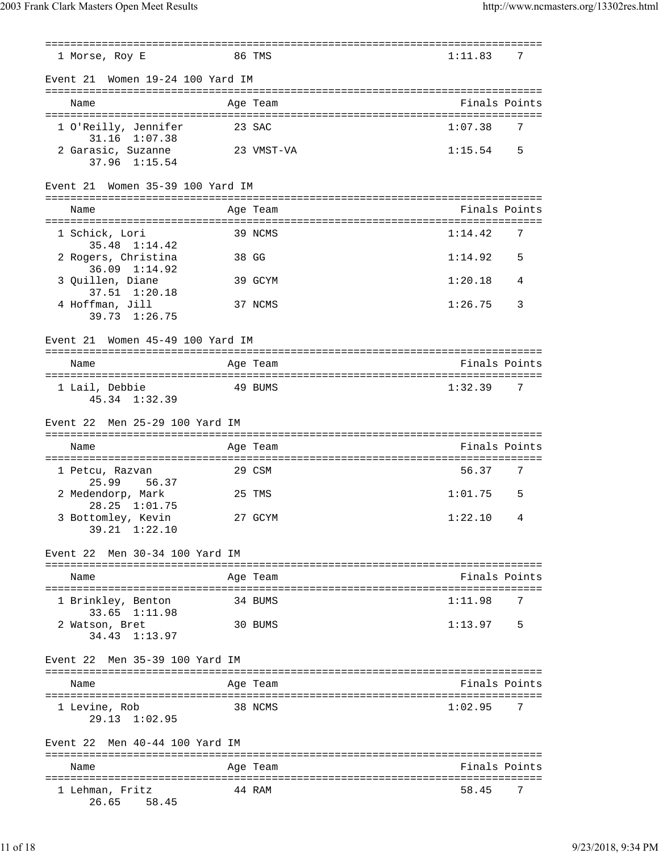| 1 Morse, Roy E                         | 86 TMS     | 1:11.83       | 7   |
|----------------------------------------|------------|---------------|-----|
| Women 19-24 100 Yard IM<br>Event 21    |            |               |     |
| Name                                   | Age Team   | Finals Points |     |
|                                        |            |               |     |
| 1 O'Reilly, Jennifer                   | 23 SAC     | 1:07.38       | 7   |
| 31.16 1:07.38<br>2 Garasic, Suzanne    | 23 VMST-VA | 1:15.54       | - 5 |
| 37.96 1:15.54                          |            |               |     |
| Women 35-39 100 Yard IM<br>Event 21    |            |               |     |
| Name                                   | Age Team   | Finals Points |     |
| --------------------<br>1 Schick, Lori | 39 NCMS    | 1:14.42       | 7   |
| 35.48 1:14.42                          |            |               |     |
| 2 Rogers, Christina<br>36.09 1:14.92   | 38 GG      | 1:14.92       | 5   |
| 3 Quillen, Diane                       | 39 GCYM    | 1:20.18       | 4   |
| 37.51 1:20.18                          |            |               |     |
| 4 Hoffman, Jill<br>39.73 1:26.75       | 37 NCMS    | 1:26.75       | 3   |
|                                        |            |               |     |
| Women 45-49 100 Yard IM<br>Event 21    |            |               |     |
| Name                                   | Age Team   | Finals Points |     |
| 1 Lail, Debbie                         | 49 BUMS    | 1:32.39       | 7   |
| 45.34 1:32.39                          |            |               |     |
|                                        |            |               |     |
| Men 25-29 100 Yard IM<br>Event 22      |            |               |     |
|                                        |            |               |     |
| Name                                   | Age Team   | Finals Points |     |
|                                        |            |               |     |
| 1 Petcu, Razvan<br>56.37<br>25.99      | 29 CSM     | 56.37         | 7   |
| 2 Medendorp, Mark                      | 25 TMS     | 1:01.75       | 5   |
| 28.25 1:01.75                          |            |               |     |
| 3 Bottomley, Kevin<br>39.21 1:22.10    | 27 GCYM    | 1:22.10       | 4   |
|                                        |            |               |     |
| Men 30-34 100 Yard IM<br>Event 22      |            |               |     |
| Name                                   | Aqe Team   | Finals Points |     |
| 1 Brinkley, Benton                     | 34 BUMS    | 1:11.98       | 7   |
| 33.65 1:11.98                          |            |               |     |
| 2 Watson, Bret<br>34.43 1:13.97        | 30 BUMS    | 1:13.97       | .5  |
|                                        |            |               |     |
| Men 35-39 100 Yard IM<br>Event 22      |            |               |     |
| Name                                   | Aqe Team   | Finals Points |     |
|                                        |            |               |     |
| 1 Levine, Rob<br>$29.13 \quad 1:02.95$ | 38 NCMS    | 1:02.95       | 7   |
|                                        |            |               |     |
| Event 22 Men 40-44 100 Yard IM         |            |               |     |
| Name                                   | Age Team   | Finals Points |     |
| 1 Lehman, Fritz                        | 44 RAM     | 58.45         |     |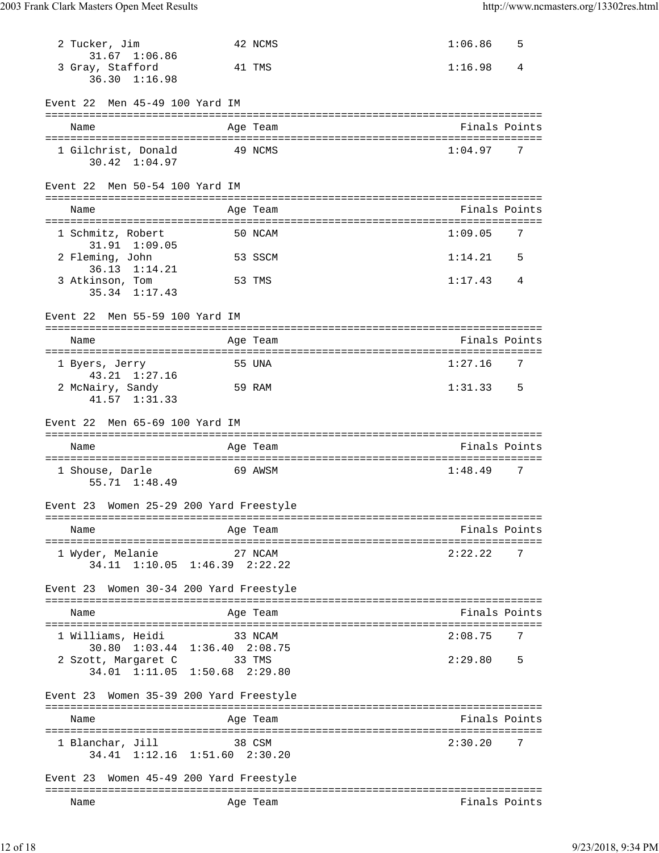| 2 Tucker, Jim<br>31.67 1:06.86                                                        |         | 42 NCMS  | 1:06.86       | 5    |
|---------------------------------------------------------------------------------------|---------|----------|---------------|------|
| 3 Gray, Stafford<br>$36.30 \quad 1:16.98$                                             |         | 41 TMS   | 1:16.98       | 4    |
| Men 45-49 100 Yard IM<br>Event 22                                                     |         |          |               |      |
| Name                                                                                  |         | Age Team | Finals Points |      |
| 1 Gilchrist, Donald<br>$30.42 \quad 1:04.97$                                          | 49 NCMS |          | 1:04.977      |      |
| Men 50-54 100 Yard IM<br>Event 22                                                     |         |          |               |      |
| Name                                                                                  |         | Age Team | Finals Points |      |
| 1 Schmitz, Robert<br>31.91 1:09.05                                                    |         | 50 NCAM  | 1:09.05       | 7    |
| 2 Fleming, John<br>$36.13 \quad 1:14.21$                                              |         | 53 SSCM  | 1:14.21       | 5    |
| 3 Atkinson, Tom<br>35.34 1:17.43                                                      |         | 53 TMS   | 1:17.43       | 4    |
| Event 22 Men 55-59 100 Yard IM                                                        |         |          |               |      |
| Name                                                                                  |         | Age Team | Finals Points |      |
| 1 Byers, Jerry                                                                        |         | 55 UNA   | 1:27.16       | 7    |
| 43.21 1:27.16<br>2 McNairy, Sandy<br>41.57 1:31.33                                    |         | 59 RAM   | 1:31.33       | 5    |
| Event 22 Men 65-69 100 Yard IM                                                        |         |          |               |      |
| Name                                                                                  |         | Age Team | Finals Points |      |
| 1 Shouse, Darle<br>55.71 1:48.49                                                      | 69 AWSM |          | 1:48.49       | -7   |
| Event 23 Women 25-29 200 Yard Freestyle                                               |         |          |               |      |
| Name                                                                                  |         | Age Team | Finals Points |      |
| 1 Wyder, Melanie<br>34.11 1:10.05 1:46.39 2:22.22                                     |         | 27 NCAM  | 2:22.22       | 7    |
| Event 23 Women 30-34 200 Yard Freestyle                                               |         |          |               |      |
| Name                                                                                  |         | Age Team | Finals Points |      |
| 1 Williams, Heidi                                                                     |         | 33 NCAM  | 2:08.75       | 7    |
| 30.80 1:03.44 1:36.40 2:08.75<br>2 Szott, Margaret C<br>34.01 1:11.05 1:50.68 2:29.80 | 33 TMS  |          | 2:29.80       | $-5$ |
| Women 35-39 200 Yard Freestyle<br>Event 23                                            |         |          |               |      |
| Name                                                                                  |         | Age Team | Finals Points |      |
| 1 Blanchar, Jill<br>34.41 1:12.16 1:51.60 2:30.20                                     |         | 38 CSM   | 2:30.20       | 7    |
| Event 23 Women 45-49 200 Yard Freestyle                                               |         |          |               |      |
| Name                                                                                  |         | Age Team | Finals Points |      |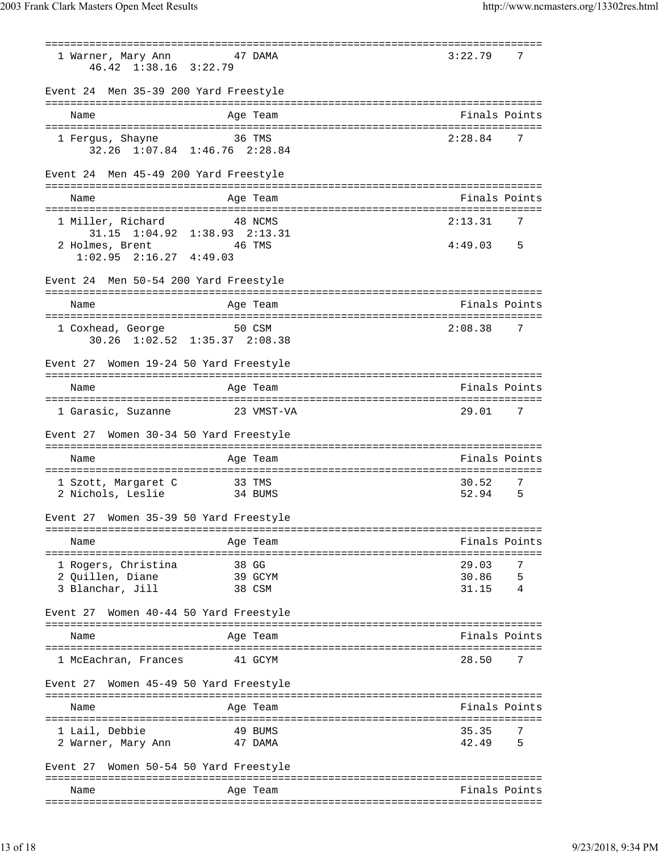=============================================================================== 1 Warner, Mary Ann 47 DAMA 3:22.79 7 46.42 1:38.16 3:22.79 Event 24 Men 35-39 200 Yard Freestyle =============================================================================== Name Age Team Finals Points =============================================================================== 1 Fergus, Shayne 36 TMS 2:28.84 7 32.26 1:07.84 1:46.76 2:28.84 Event 24 Men 45-49 200 Yard Freestyle =============================================================================== Name Age Team Finals Points =============================================================================== 1 Miller, Richard 48 NCMS 2:13.31 7 31.15 1:04.92 1:38.93 2:13.31 2 Holmes, Brent 46 TMS 4:49.03 5 1:02.95 2:16.27 4:49.03 Event 24 Men 50-54 200 Yard Freestyle =============================================================================== Name **Age Team** Age Team Finals Points =============================================================================== 1 Coxhead, George 50 CSM 2:08.38 7 30.26 1:02.52 1:35.37 2:08.38 Event 27 Women 19-24 50 Yard Freestyle =============================================================================== Name Age Team Finals Points =============================================================================== 1 Garasic, Suzanne 23 VMST-VA Event 27 Women 30-34 50 Yard Freestyle =============================================================================== Name **Age Team** Age Team Finals Points =============================================================================== 1 Szott, Margaret C 33 TMS 30.52 7 2 Nichols, Leslie 34 BUMS 52.94 5 Event 27 Women 35-39 50 Yard Freestyle =============================================================================== Name Age Team Finals Points =============================================================================== 1 Rogers, Christina 38 GG 29.03 7 2 Quillen, Diane 39 GCYM 30.86 5 3 Blanchar, Jill 38 CSM Event 27 Women 40-44 50 Yard Freestyle =============================================================================== Name Age Team Finals Points =============================================================================== 1 McEachran, Frances 41 GCYM 28.50 7 Event 27 Women 45-49 50 Yard Freestyle =============================================================================== Name Age Team Finals Points =============================================================================== 1 Lail, Debbie 49 BUMS 35.35 7 2 Warner, Mary Ann 47 DAMA 42.49 5 Event 27 Women 50-54 50 Yard Freestyle =============================================================================== Name Age Team Finals Points ===============================================================================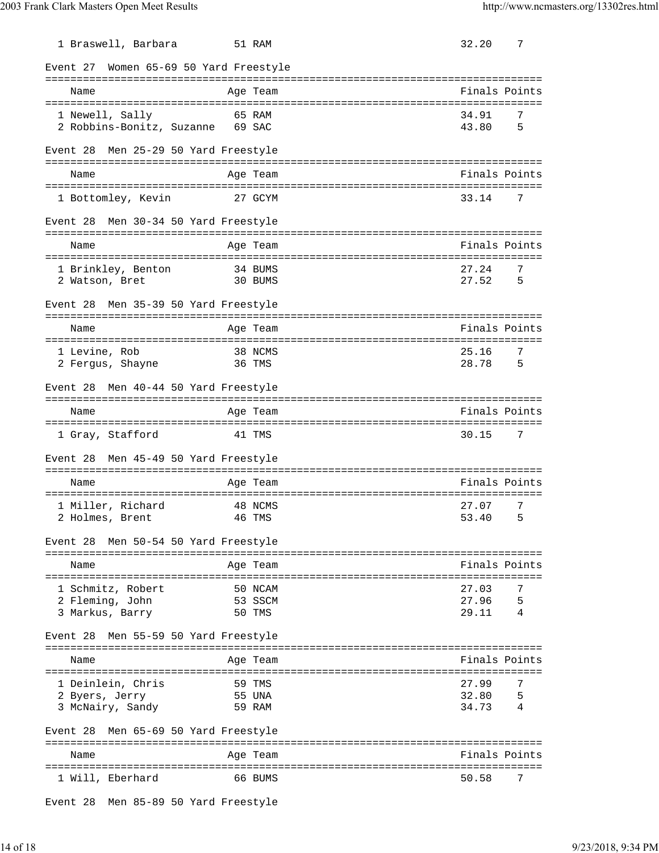| 1 Braswell, Barbara                                     | 51 RAM                                     | 32.20<br>7                             |
|---------------------------------------------------------|--------------------------------------------|----------------------------------------|
| Event 27 Women 65-69 50 Yard Freestyle                  |                                            |                                        |
| Name                                                    | Age Team                                   | Finals Points                          |
| 1 Newell, Sally<br>2 Robbins-Bonitz, Suzanne 69 SAC     | 65 RAM                                     | 34.91<br>7<br>43.80<br>5               |
| Men 25-29 50 Yard Freestyle<br>Event 28                 |                                            |                                        |
| Name                                                    | Age Team                                   | Finals Points                          |
| 1 Bottomley, Kevin                                      | 27 GCYM                                    | 33.14<br>7                             |
| Men 30-34 50 Yard Freestyle<br>Event 28                 |                                            |                                        |
| Name                                                    | Age Team                                   | Finals Points                          |
| 1 Brinkley, Benton<br>2 Watson, Bret                    | 34 BUMS<br>30 BUMS                         | 27.24<br>7<br>27.52<br>- 5             |
| Men 35-39 50 Yard Freestyle<br>Event 28                 |                                            |                                        |
| Name                                                    | Age Team                                   | Finals Points                          |
| 1 Levine, Rob<br>2 Fergus, Shayne                       | 38 NCMS<br>36 TMS                          | 25.16<br>7<br>28.78<br>- 5             |
| Event 28 Men 40-44 50 Yard Freestyle                    |                                            |                                        |
| Name                                                    | Age Team                                   | Finals Points                          |
| 1 Gray, Stafford                                        | 41 TMS                                     | 30.15<br>7                             |
| Men 45-49 50 Yard Freestyle<br>Event 28                 |                                            |                                        |
| Name                                                    | Age Team                                   | Finals Points                          |
| 1 Miller, Richard<br>2 Holmes, Brent                    | 48 NCMS<br>46 TMS                          | 27.07<br>7<br>53.40<br>5               |
| Event 28 Men 50-54 50 Yard Freestyle                    |                                            |                                        |
| Name                                                    | ------------------------------<br>Age Team | Finals Points                          |
| 1 Schmitz, Robert<br>2 Fleming, John<br>3 Markus, Barry | 50 NCAM<br>53 SSCM<br>50 TMS               | 27.03<br>7<br>27.96<br>5<br>29.11<br>4 |
| Men 55-59 50 Yard Freestyle<br>Event 28                 |                                            |                                        |
| Name                                                    | Age Team                                   | Finals Points                          |
| 1 Deinlein, Chris<br>2 Byers, Jerry<br>3 McNairy, Sandy | 59 TMS<br>55 UNA<br>59 RAM                 | 27.99<br>7<br>32.80<br>5<br>34.73<br>4 |
| Men 65-69 50 Yard Freestyle<br>Event 28                 |                                            |                                        |
| Name                                                    | Age Team                                   | Finals Points                          |
| 1 Will, Eberhard                                        | 66 BUMS                                    | 50.58<br>7                             |

Event 28 Men 85-89 50 Yard Freestyle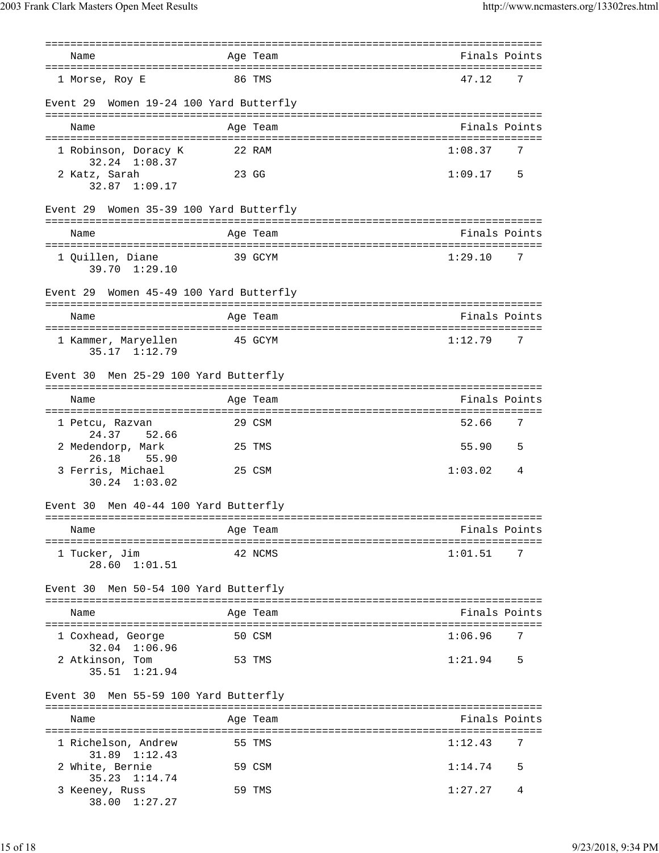|                                                                                   | ========== | ================================= |
|-----------------------------------------------------------------------------------|------------|-----------------------------------|
| Name                                                                              | Age Team   | Finals Points                     |
| 1 Morse, Roy E                                                                    | 86 TMS     | 47.12<br>7                        |
| Event 29 Women 19-24 100 Yard Butterfly                                           |            |                                   |
| Name                                                                              | Age Team   | Finals Points                     |
| 1 Robinson, Doracy K                                                              | 22 RAM     | 1:08.37<br>7                      |
| 32.24 1:08.37<br>2 Katz, Sarah                                                    | 23 GG      | 1:09.17<br>5                      |
| 32.87 1:09.17                                                                     |            |                                   |
| Event 29 Women 35-39 100 Yard Butterfly                                           |            |                                   |
| Name                                                                              | Age Team   | Finals Points                     |
| 1 Quillen, Diane<br>39.70 1:29.10                                                 | 39 GCYM    | 1:29.10<br>7                      |
| Women 45-49 100 Yard Butterfly<br>Event 29                                        |            |                                   |
| Name                                                                              | Age Team   | Finals Points                     |
| 1 Kammer, Maryellen                                                               | 45 GCYM    | 1:12.79<br>7                      |
| 35.17 1:12.79                                                                     |            |                                   |
| Event 30 Men 25-29 100 Yard Butterfly                                             |            |                                   |
| Name                                                                              | Age Team   | Finals Points                     |
| 1 Petcu, Razvan<br>24.37<br>52.66                                                 | 29 CSM     | 52.66<br>7                        |
| 2 Medendorp, Mark<br>26.18<br>55.90                                               | 25 TMS     | 55.90<br>5                        |
| 3 Ferris, Michael<br>30.24 1:03.02                                                | 25 CSM     | 1:03.02<br>4                      |
| Men 40-44 100 Yard Butterfly<br>Event 30<br>===================================== |            |                                   |
| Name                                                                              | Age Team   | Finals Points                     |
| ===================<br>1 Tucker, Jim<br>28.60 1:01.51                             | 42 NCMS    | 1:01.51<br>7                      |
| Men 50-54 100 Yard Butterfly<br>Event 30                                          |            |                                   |
| Name                                                                              | Age Team   | Finals Points                     |
| 1 Coxhead, George<br>32.04 1:06.96                                                | 50 CSM     | 1:06.96<br>7                      |
| 2 Atkinson, Tom<br>35.51 1:21.94                                                  | 53 TMS     | 5<br>1:21.94                      |
| Men 55-59 100 Yard Butterfly<br>Event 30                                          |            |                                   |
| Name                                                                              | Age Team   | Finals Points                     |
| ===========================<br>1 Richelson, Andrew                                | 55 TMS     | 1:12.43<br>7                      |
| $31.89$ $1:12.43$<br>2 White, Bernie                                              | 59 CSM     | 1:14.74<br>5                      |
| 35.23<br>1:14.74                                                                  |            |                                   |
| 3 Keeney, Russ<br>38.00 1:27.27                                                   | 59 TMS     | 1:27.27<br>4                      |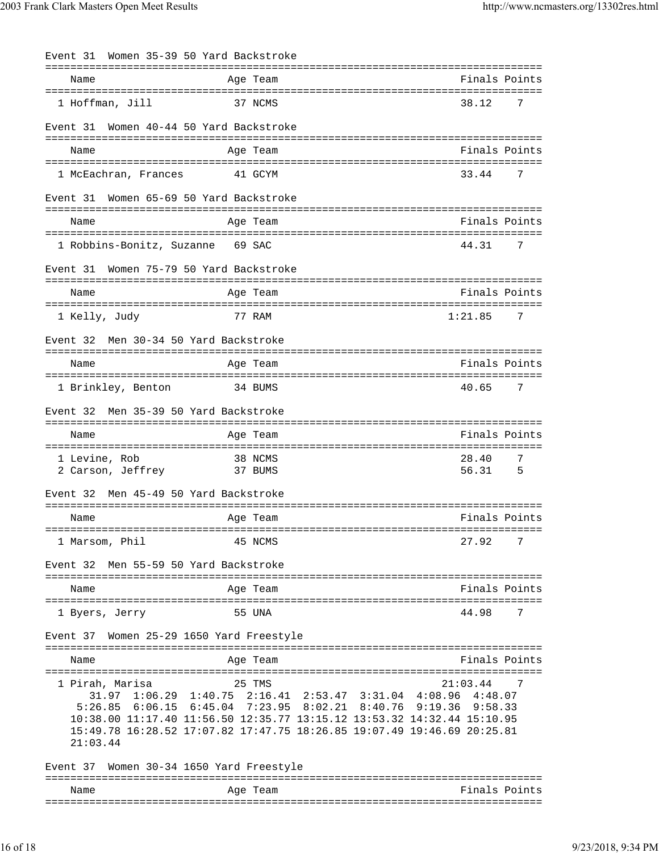| Women 35-39 50 Yard Backstroke                    |           |                                                                                                                                                                                   |  |                                                                                                                                                                                                                                                                                                                                                                                                                                                                                                                                                                                                          |
|---------------------------------------------------|-----------|-----------------------------------------------------------------------------------------------------------------------------------------------------------------------------------|--|----------------------------------------------------------------------------------------------------------------------------------------------------------------------------------------------------------------------------------------------------------------------------------------------------------------------------------------------------------------------------------------------------------------------------------------------------------------------------------------------------------------------------------------------------------------------------------------------------------|
| Age Team                                          |           |                                                                                                                                                                                   |  |                                                                                                                                                                                                                                                                                                                                                                                                                                                                                                                                                                                                          |
| 37 NCMS                                           |           |                                                                                                                                                                                   |  |                                                                                                                                                                                                                                                                                                                                                                                                                                                                                                                                                                                                          |
|                                                   |           |                                                                                                                                                                                   |  |                                                                                                                                                                                                                                                                                                                                                                                                                                                                                                                                                                                                          |
| Age Team                                          |           |                                                                                                                                                                                   |  |                                                                                                                                                                                                                                                                                                                                                                                                                                                                                                                                                                                                          |
| 41 GCYM                                           |           |                                                                                                                                                                                   |  |                                                                                                                                                                                                                                                                                                                                                                                                                                                                                                                                                                                                          |
|                                                   |           |                                                                                                                                                                                   |  |                                                                                                                                                                                                                                                                                                                                                                                                                                                                                                                                                                                                          |
| Age Team                                          |           |                                                                                                                                                                                   |  |                                                                                                                                                                                                                                                                                                                                                                                                                                                                                                                                                                                                          |
| 1 Robbins-Bonitz, Suzanne 69 SAC                  |           |                                                                                                                                                                                   |  | 7                                                                                                                                                                                                                                                                                                                                                                                                                                                                                                                                                                                                        |
|                                                   |           |                                                                                                                                                                                   |  |                                                                                                                                                                                                                                                                                                                                                                                                                                                                                                                                                                                                          |
| Age Team                                          |           |                                                                                                                                                                                   |  |                                                                                                                                                                                                                                                                                                                                                                                                                                                                                                                                                                                                          |
| 77 RAM                                            |           |                                                                                                                                                                                   |  |                                                                                                                                                                                                                                                                                                                                                                                                                                                                                                                                                                                                          |
| Men 30-34 50 Yard Backstroke                      |           |                                                                                                                                                                                   |  |                                                                                                                                                                                                                                                                                                                                                                                                                                                                                                                                                                                                          |
| Age Team                                          |           |                                                                                                                                                                                   |  |                                                                                                                                                                                                                                                                                                                                                                                                                                                                                                                                                                                                          |
| 34 BUMS                                           |           |                                                                                                                                                                                   |  | 7                                                                                                                                                                                                                                                                                                                                                                                                                                                                                                                                                                                                        |
| Men 35-39 50 Yard Backstroke                      |           |                                                                                                                                                                                   |  |                                                                                                                                                                                                                                                                                                                                                                                                                                                                                                                                                                                                          |
| Age Team                                          |           |                                                                                                                                                                                   |  |                                                                                                                                                                                                                                                                                                                                                                                                                                                                                                                                                                                                          |
| 38 NCMS<br>37 BUMS                                |           |                                                                                                                                                                                   |  | 7<br>5                                                                                                                                                                                                                                                                                                                                                                                                                                                                                                                                                                                                   |
| Men 45-49 50 Yard Backstroke                      |           |                                                                                                                                                                                   |  |                                                                                                                                                                                                                                                                                                                                                                                                                                                                                                                                                                                                          |
| Age Team                                          |           |                                                                                                                                                                                   |  |                                                                                                                                                                                                                                                                                                                                                                                                                                                                                                                                                                                                          |
| ======================================<br>45 NCMS |           |                                                                                                                                                                                   |  | 7                                                                                                                                                                                                                                                                                                                                                                                                                                                                                                                                                                                                        |
| Event 32 Men 55-59 50 Yard Backstroke             |           |                                                                                                                                                                                   |  |                                                                                                                                                                                                                                                                                                                                                                                                                                                                                                                                                                                                          |
| Age Team                                          |           |                                                                                                                                                                                   |  |                                                                                                                                                                                                                                                                                                                                                                                                                                                                                                                                                                                                          |
| 55 UNA                                            |           |                                                                                                                                                                                   |  | 7                                                                                                                                                                                                                                                                                                                                                                                                                                                                                                                                                                                                        |
|                                                   |           |                                                                                                                                                                                   |  |                                                                                                                                                                                                                                                                                                                                                                                                                                                                                                                                                                                                          |
| Age Team                                          |           |                                                                                                                                                                                   |  |                                                                                                                                                                                                                                                                                                                                                                                                                                                                                                                                                                                                          |
| 25 TMS                                            |           |                                                                                                                                                                                   |  | 7                                                                                                                                                                                                                                                                                                                                                                                                                                                                                                                                                                                                        |
|                                                   |           |                                                                                                                                                                                   |  |                                                                                                                                                                                                                                                                                                                                                                                                                                                                                                                                                                                                          |
|                                                   |           |                                                                                                                                                                                   |  |                                                                                                                                                                                                                                                                                                                                                                                                                                                                                                                                                                                                          |
|                                                   |           |                                                                                                                                                                                   |  |                                                                                                                                                                                                                                                                                                                                                                                                                                                                                                                                                                                                          |
|                                                   |           |                                                                                                                                                                                   |  |                                                                                                                                                                                                                                                                                                                                                                                                                                                                                                                                                                                                          |
|                                                   |           |                                                                                                                                                                                   |  |                                                                                                                                                                                                                                                                                                                                                                                                                                                                                                                                                                                                          |
| Age Team                                          |           |                                                                                                                                                                                   |  |                                                                                                                                                                                                                                                                                                                                                                                                                                                                                                                                                                                                          |
|                                                   | ========= | Women 40-44 50 Yard Backstroke<br>Women 65-69 50 Yard Backstroke<br>Women 75-79 50 Yard Backstroke<br>Women 25-29 1650 Yard Freestyle<br>Event 37 Women 30-34 1650 Yard Freestyle |  | -------------------------------------<br>Finals Points<br>38.12<br>Finals Points<br>33.44<br>Finals Points<br>44.31<br>Finals Points<br>1:21.85<br>Finals Points<br>40.65<br>Finals Points<br>28.40<br>56.31<br>Finals Points<br>27.92<br>Finals Points<br>44.98<br>Finals Points<br>21:03.44<br>31.97 1:06.29 1:40.75 2:16.41 2:53.47 3:31.04 4:08.96 4:48.07<br>5:26.85 6:06.15 6:45.04 7:23.95 8:02.21 8:40.76 9:19.36 9:58.33<br>10:38.00 11:17.40 11:56.50 12:35.77 13:15.12 13:53.32 14:32.44 15:10.95<br>15:49.78 16:28.52 17:07.82 17:47.75 18:26.85 19:07.49 19:46.69 20:25.81<br>Finals Points |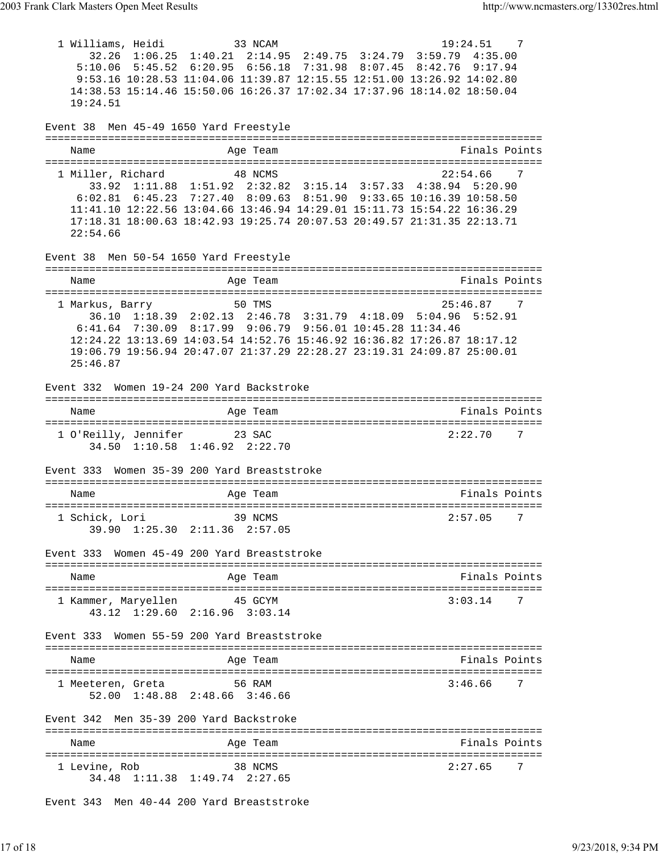| 1 Williams, Heidi                           | 33 NCAM                                                                                                                                      |  | 19:24.51 7    |                |
|---------------------------------------------|----------------------------------------------------------------------------------------------------------------------------------------------|--|---------------|----------------|
|                                             | 32.26 1:06.25 1:40.21 2:14.95 2:49.75 3:24.79 3:59.79 4:35.00                                                                                |  |               |                |
|                                             | 5:10.06 5:45.52 6:20.95 6:56.18 7:31.98 8:07.45 8:42.76 9:17.94<br>9:53.16 10:28.53 11:04.06 11:39.87 12:15.55 12:51.00 13:26.92 14:02.80    |  |               |                |
|                                             | 14:38.53 15:14.46 15:50.06 16:26.37 17:02.34 17:37.96 18:14.02 18:50.04                                                                      |  |               |                |
| 19:24.51                                    |                                                                                                                                              |  |               |                |
|                                             |                                                                                                                                              |  |               |                |
| Event 38 Men 45-49 1650 Yard Freestyle      |                                                                                                                                              |  |               |                |
| Name                                        | Age Team                                                                                                                                     |  | Finals Points |                |
|                                             |                                                                                                                                              |  |               |                |
| 1 Miller, Richard                           | 48 NCMS                                                                                                                                      |  | 22:54.66      | 7              |
|                                             | 33.92 1:11.88 1:51.92 2:32.82 3:15.14 3:57.33 4:38.94 5:20.90                                                                                |  |               |                |
|                                             | 6:02.81 6:45.23 7:27.40 8:09.63 8:51.90 9:33.65 10:16.39 10:58.50<br>11:41.10 12:22.56 13:04.66 13:46.94 14:29.01 15:11.73 15:54.22 16:36.29 |  |               |                |
|                                             | 17:18.31 18:00.63 18:42.93 19:25.74 20:07.53 20:49.57 21:31.35 22:13.71                                                                      |  |               |                |
| 22:54.66                                    |                                                                                                                                              |  |               |                |
|                                             |                                                                                                                                              |  |               |                |
| Event 38 Men 50-54 1650 Yard Freestyle      |                                                                                                                                              |  |               |                |
| Name                                        | Age Team                                                                                                                                     |  | Finals Points |                |
|                                             |                                                                                                                                              |  |               |                |
| 1 Markus, Barry 50 TMS                      |                                                                                                                                              |  | 25:46.877     |                |
|                                             | 36.10 1:18.39 2:02.13 2:46.78 3:31.79 4:18.09 5:04.96 5:52.91<br>6:41.64 7:30.09 8:17.99 9:06.79 9:56.01 10:45.28 11:34.46                   |  |               |                |
|                                             | 12:24.22 13:13.69 14:03.54 14:52.76 15:46.92 16:36.82 17:26.87 18:17.12                                                                      |  |               |                |
|                                             | 19:06.79 19:56.94 20:47.07 21:37.29 22:28.27 23:19.31 24:09.87 25:00.01                                                                      |  |               |                |
| 25:46.87                                    |                                                                                                                                              |  |               |                |
|                                             |                                                                                                                                              |  |               |                |
| Event 332 Women 19-24 200 Yard Backstroke   |                                                                                                                                              |  |               |                |
| Name                                        | Age Team                                                                                                                                     |  | Finals Points |                |
|                                             |                                                                                                                                              |  |               |                |
| 1 O'Reilly, Jennifer 23 SAC                 |                                                                                                                                              |  | $2:22.70$ 7   |                |
|                                             | 34.50 1:10.58 1:46.92 2:22.70                                                                                                                |  |               |                |
| Event 333 Women 35-39 200 Yard Breaststroke |                                                                                                                                              |  |               |                |
|                                             |                                                                                                                                              |  |               |                |
| Name                                        | Age Team                                                                                                                                     |  | Finals Points |                |
| 1 Schick, Lori 39 NCMS                      |                                                                                                                                              |  | 2:57.05       | $\overline{7}$ |
|                                             | 39.90 1:25.30 2:11.36 2:57.05                                                                                                                |  |               |                |
|                                             |                                                                                                                                              |  |               |                |
| Event 333 Women 45-49 200 Yard Breaststroke |                                                                                                                                              |  |               |                |
| Name                                        | Age Team                                                                                                                                     |  | Finals Points |                |
|                                             |                                                                                                                                              |  |               |                |
| 1 Kammer, Maryellen 45 GCYM                 |                                                                                                                                              |  | 3:03.14       | 7              |
|                                             | 43.12 1:29.60 2:16.96 3:03.14                                                                                                                |  |               |                |
| Event 333 Women 55-59 200 Yard Breaststroke |                                                                                                                                              |  |               |                |
|                                             |                                                                                                                                              |  |               |                |
| Name                                        | Age Team                                                                                                                                     |  | Finals Points |                |
|                                             |                                                                                                                                              |  |               |                |
| l Meeteren, Greta                           | 56 RAM<br>52.00 1:48.88 2:48.66 3:46.66                                                                                                      |  | 3:46.66       | $\overline{7}$ |
|                                             |                                                                                                                                              |  |               |                |
| Event 342 Men 35-39 200 Yard Backstroke     |                                                                                                                                              |  |               |                |
|                                             |                                                                                                                                              |  |               |                |
| Name                                        | Age Team                                                                                                                                     |  | Finals Points |                |
| 1 Levine, Rob                               | 38 NCMS                                                                                                                                      |  | 2:27.65       | $\overline{7}$ |
|                                             | 34.48 1:11.38 1:49.74 2:27.65                                                                                                                |  |               |                |
|                                             |                                                                                                                                              |  |               |                |

Event 343 Men 40-44 200 Yard Breaststroke